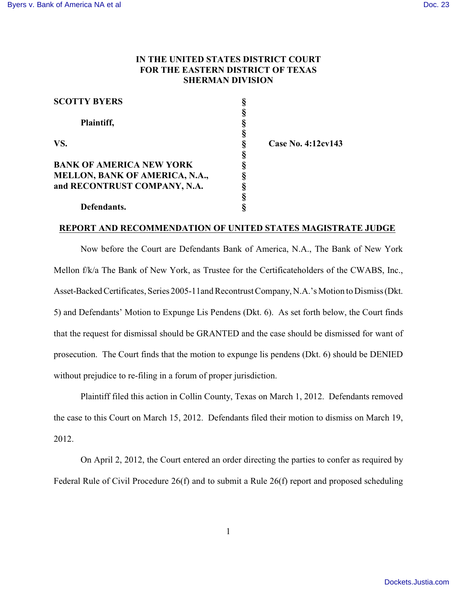## **IN THE UNITED STATES DISTRICT COURT FOR THE EASTERN DISTRICT OF TEXAS SHERMAN DIVISION**

| <b>SCOTTY BYERS</b>                   |   |                    |
|---------------------------------------|---|--------------------|
|                                       |   |                    |
| Plaintiff,                            |   |                    |
|                                       |   |                    |
| VS.                                   | 8 | Case No. 4:12cv143 |
|                                       |   |                    |
| <b>BANK OF AMERICA NEW YORK</b>       |   |                    |
| <b>MELLON, BANK OF AMERICA, N.A.,</b> |   |                    |
| and RECONTRUST COMPANY, N.A.          |   |                    |
|                                       |   |                    |
| Defendants.                           |   |                    |

## **REPORT AND RECOMMENDATION OF UNITED STATES MAGISTRATE JUDGE**

Now before the Court are Defendants Bank of America, N.A., The Bank of New York Mellon f/k/a The Bank of New York, as Trustee for the Certificateholders of the CWABS, Inc., Asset-Backed Certificates, Series 2005-11and Recontrust Company, N.A.'s Motion to Dismiss (Dkt. 5) and Defendants' Motion to Expunge Lis Pendens (Dkt. 6). As set forth below, the Court finds that the request for dismissal should be GRANTED and the case should be dismissed for want of prosecution. The Court finds that the motion to expunge lis pendens (Dkt. 6) should be DENIED without prejudice to re-filing in a forum of proper jurisdiction.

 Plaintiff filed this action in Collin County, Texas on March 1, 2012. Defendants removed the case to this Court on March 15, 2012. Defendants filed their motion to dismiss on March 19, 2012.

On April 2, 2012, the Court entered an order directing the parties to confer as required by Federal Rule of Civil Procedure 26(f) and to submit a Rule 26(f) report and proposed scheduling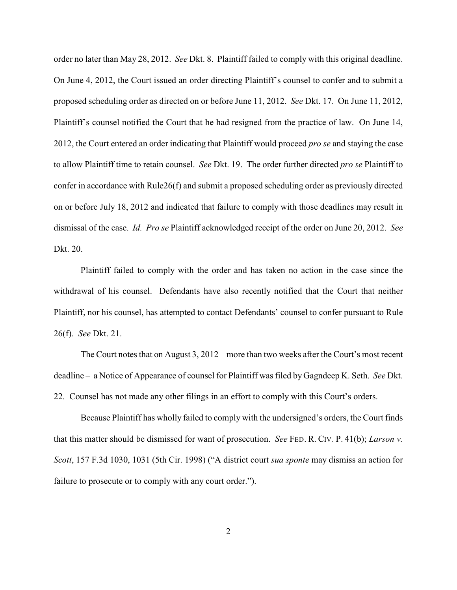order no later than May 28, 2012. *See* Dkt. 8. Plaintiff failed to comply with this original deadline. On June 4, 2012, the Court issued an order directing Plaintiff's counsel to confer and to submit a proposed scheduling order as directed on or before June 11, 2012. *See* Dkt. 17. On June 11, 2012, Plaintiff's counsel notified the Court that he had resigned from the practice of law. On June 14, 2012, the Court entered an order indicating that Plaintiff would proceed *pro se* and staying the case to allow Plaintiff time to retain counsel. *See* Dkt. 19. The order further directed *pro se* Plaintiff to confer in accordance with Rule26(f) and submit a proposed scheduling order as previously directed on or before July 18, 2012 and indicated that failure to comply with those deadlines may result in dismissal of the case. *Id. Pro se* Plaintiff acknowledged receipt of the order on June 20, 2012. *See* Dkt. 20.

Plaintiff failed to comply with the order and has taken no action in the case since the withdrawal of his counsel. Defendants have also recently notified that the Court that neither Plaintiff, nor his counsel, has attempted to contact Defendants' counsel to confer pursuant to Rule 26(f). *See* Dkt. 21.

The Court notes that on August 3, 2012 – more than two weeks after the Court's most recent deadline – a Notice of Appearance of counsel for Plaintiff was filed by Gagndeep K. Seth. *See* Dkt. 22. Counsel has not made any other filings in an effort to comply with this Court's orders.

Because Plaintiff has wholly failed to comply with the undersigned's orders, the Court finds that this matter should be dismissed for want of prosecution. *See* FED. R. CIV. P. 41(b); *Larson v. Scott*, 157 F.3d 1030, 1031 (5th Cir. 1998) ("A district court *sua sponte* may dismiss an action for failure to prosecute or to comply with any court order.").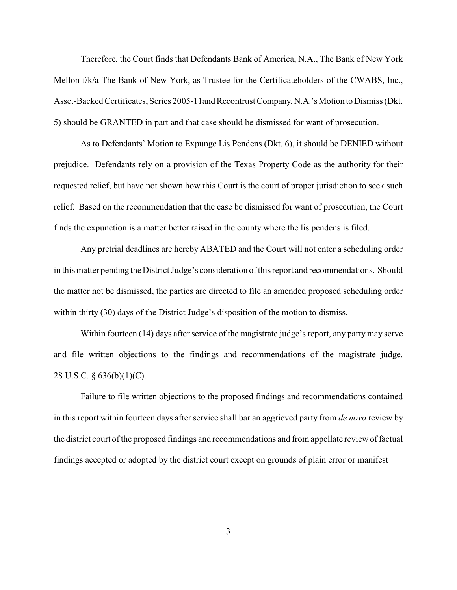Therefore, the Court finds that Defendants Bank of America, N.A., The Bank of New York Mellon f/k/a The Bank of New York, as Trustee for the Certificateholders of the CWABS, Inc., Asset-Backed Certificates, Series 2005-11and Recontrust Company, N.A.'s Motion to Dismiss (Dkt. 5) should be GRANTED in part and that case should be dismissed for want of prosecution.

As to Defendants' Motion to Expunge Lis Pendens (Dkt. 6), it should be DENIED without prejudice. Defendants rely on a provision of the Texas Property Code as the authority for their requested relief, but have not shown how this Court is the court of proper jurisdiction to seek such relief. Based on the recommendation that the case be dismissed for want of prosecution, the Court finds the expunction is a matter better raised in the county where the lis pendens is filed.

Any pretrial deadlines are hereby ABATED and the Court will not enter a scheduling order in this matter pending the District Judge's consideration of this report and recommendations. Should the matter not be dismissed, the parties are directed to file an amended proposed scheduling order within thirty (30) days of the District Judge's disposition of the motion to dismiss.

Within fourteen (14) days after service of the magistrate judge's report, any party may serve and file written objections to the findings and recommendations of the magistrate judge. 28 U.S.C. § 636(b)(1)(C).

Failure to file written objections to the proposed findings and recommendations contained in this report within fourteen days after service shall bar an aggrieved party from *de novo* review by the district court of the proposed findings and recommendations and from appellate review of factual findings accepted or adopted by the district court except on grounds of plain error or manifest